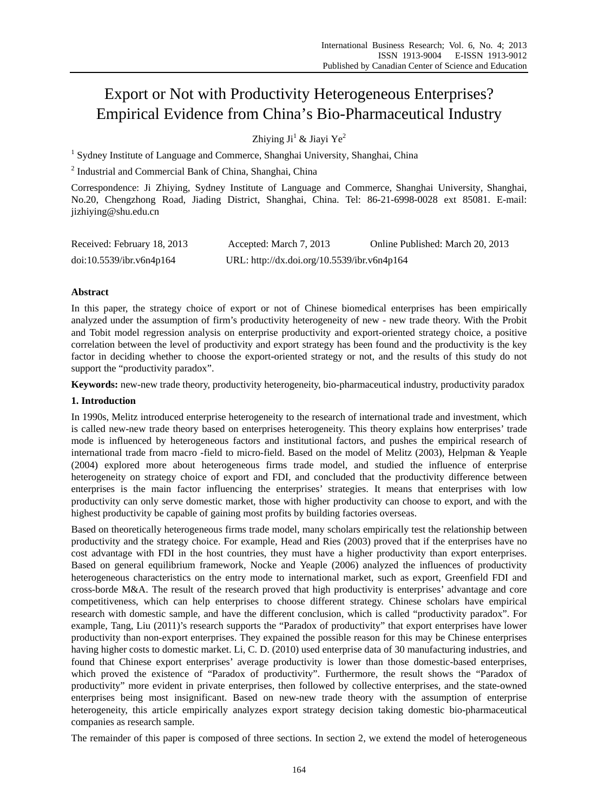# Export or Not with Productivity Heterogeneous Enterprises? Empirical Evidence from China's Bio-Pharmaceutical Industry

Zhiying Ji<sup>1</sup> & Jiayi Ye<sup>2</sup>

<sup>1</sup> Sydney Institute of Language and Commerce, Shanghai University, Shanghai, China

<sup>2</sup> Industrial and Commercial Bank of China, Shanghai, China

Correspondence: Ji Zhiying, Sydney Institute of Language and Commerce, Shanghai University, Shanghai, No.20, Chengzhong Road, Jiading District, Shanghai, China. Tel: 86-21-6998-0028 ext 85081. E-mail: jizhiying@shu.edu.cn

| Received: February 18, 2013 | Accepted: March 7, 2013                     | Online Published: March 20, 2013 |
|-----------------------------|---------------------------------------------|----------------------------------|
| doi:10.5539/ibr.v6n4p164    | URL: http://dx.doi.org/10.5539/ibr.v6n4p164 |                                  |

# **Abstract**

In this paper, the strategy choice of export or not of Chinese biomedical enterprises has been empirically analyzed under the assumption of firm's productivity heterogeneity of new - new trade theory. With the Probit and Tobit model regression analysis on enterprise productivity and export-oriented strategy choice, a positive correlation between the level of productivity and export strategy has been found and the productivity is the key factor in deciding whether to choose the export-oriented strategy or not, and the results of this study do not support the "productivity paradox".

**Keywords:** new-new trade theory, productivity heterogeneity, bio-pharmaceutical industry, productivity paradox

## **1. Introduction**

In 1990s, Melitz introduced enterprise heterogeneity to the research of international trade and investment, which is called new-new trade theory based on enterprises heterogeneity. This theory explains how enterprises' trade mode is influenced by heterogeneous factors and institutional factors, and pushes the empirical research of international trade from macro -field to micro-field. Based on the model of Melitz (2003), Helpman & Yeaple (2004) explored more about heterogeneous firms trade model, and studied the influence of enterprise heterogeneity on strategy choice of export and FDI, and concluded that the productivity difference between enterprises is the main factor influencing the enterprises' strategies. It means that enterprises with low productivity can only serve domestic market, those with higher productivity can choose to export, and with the highest productivity be capable of gaining most profits by building factories overseas.

Based on theoretically heterogeneous firms trade model, many scholars empirically test the relationship between productivity and the strategy choice. For example, Head and Ries (2003) proved that if the enterprises have no cost advantage with FDI in the host countries, they must have a higher productivity than export enterprises. Based on general equilibrium framework, Nocke and Yeaple (2006) analyzed the influences of productivity heterogeneous characteristics on the entry mode to international market, such as export, Greenfield FDI and cross-borde M&A. The result of the research proved that high productivity is enterprises' advantage and core competitiveness, which can help enterprises to choose different strategy. Chinese scholars have empirical research with domestic sample, and have the different conclusion, which is called "productivity paradox". For example, Tang, Liu (2011)'s research supports the "Paradox of productivity" that export enterprises have lower productivity than non-export enterprises. They expained the possible reason for this may be Chinese enterprises having higher costs to domestic market. Li, C. D. (2010) used enterprise data of 30 manufacturing industries, and found that Chinese export enterprises' average productivity is lower than those domestic-based enterprises, which proved the existence of "Paradox of productivity". Furthermore, the result shows the "Paradox of productivity" more evident in private enterprises, then followed by collective enterprises, and the state-owned enterprises being most insignificant. Based on new-new trade theory with the assumption of enterprise heterogeneity, this article empirically analyzes export strategy decision taking domestic bio-pharmaceutical companies as research sample.

The remainder of this paper is composed of three sections. In section 2, we extend the model of heterogeneous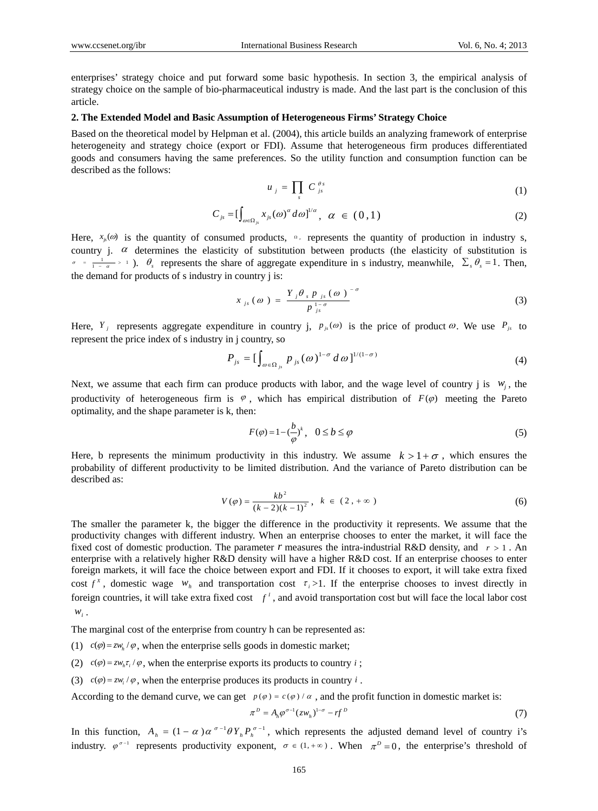enterprises' strategy choice and put forward some basic hypothesis. In section 3, the empirical analysis of strategy choice on the sample of bio-pharmaceutical industry is made. And the last part is the conclusion of this article.

# **2. The Extended Model and Basic Assumption of Heterogeneous Firms' Strategy Choice**

Based on the theoretical model by Helpman et al. (2004), this article builds an analyzing framework of enterprise heterogeneity and strategy choice (export or FDI). Assume that heterogeneous firm produces differentiated goods and consumers having the same preferences. So the utility function and consumption function can be described as the follows:

$$
u_j = \prod_s C_{js}^{\theta s} \tag{1}
$$

$$
C_{j_s} = \left[\int_{\omega \in \Omega_{j_s}} x_{j_s}(\omega)^{\alpha} d\omega\right]^{1/\alpha}, \quad \alpha \in (0,1)
$$

Here,  $x_{jk}(\omega)$  is the quantity of consumed products,  $\Omega_{jk}$  represents the quantity of production in industry s, country j.  $\alpha$  determines the elasticity of substitution between products (the elasticity of substitution is  $\sigma = \frac{1}{1 - \alpha} > 1$ ).  $\theta_s$  represents the share of aggregate expenditure in s industry, meanwhile,  $\sum_s \theta_s = 1$ . Then, the demand for products of s industry in country j is:

$$
x_{js}(\omega) = \frac{Y_j \theta_{s} p_{js}(\omega)^{-\sigma}}{p_{js}^{1-\sigma}}
$$
 (3)

Here,  $Y_j$  represents aggregate expenditure in country j,  $p_{js}(\omega)$  is the price of product  $\omega$ . We use  $P_{js}$  to represent the price index of s industry in j country, so

$$
P_{js} = \left[\int_{\omega \in \Omega_{js}} p_{js}(\omega)^{1-\sigma} d\omega\right]^{1/(1-\sigma)}
$$
(4)

Next, we assume that each firm can produce products with labor, and the wage level of country j is  $w_j$ , the productivity of heterogeneous firm is  $\varphi$ , which has empirical distribution of  $F(\varphi)$  meeting the Pareto optimality, and the shape parameter is k, then:

$$
F(\varphi) = 1 - \left(\frac{b}{\varphi}\right)^k, \quad 0 \le b \le \varphi \tag{5}
$$

Here, b represents the minimum productivity in this industry. We assume  $k > 1 + \sigma$ , which ensures the probability of different productivity to be limited distribution. And the variance of Pareto distribution can be described as:

$$
V(\varphi) = \frac{kb^2}{(k-2)(k-1)^2}, \quad k \in (2, +\infty)
$$
 (6)

The smaller the parameter k, the bigger the difference in the productivity it represents. We assume that the productivity changes with different industry. When an enterprise chooses to enter the market, it will face the fixed cost of domestic production. The parameter  $r$  measures the intra-industrial R&D density, and  $r > 1$ . An enterprise with a relatively higher R&D density will have a higher R&D cost. If an enterprise chooses to enter foreign markets, it will face the choice between export and FDI. If it chooses to export, it will take extra fixed cost  $f^x$ , domestic wage  $w_h$  and transportation cost  $\tau_i > 1$ . If the enterprise chooses to invest directly in foreign countries, it will take extra fixed cost  $f'$ , and avoid transportation cost but will face the local labor cost  $W_i$ .

The marginal cost of the enterprise from country h can be represented as:

- (1)  $c(\varphi) = zw_h / \varphi$ , when the enterprise sells goods in domestic market;
- (2)  $c(\varphi) = zw_h \tau_i / \varphi$ , when the enterprise exports its products to country *i*;
- (3)  $c(\varphi) = zw_i / \varphi$ , when the enterprise produces its products in country *i*.

According to the demand curve, we can get  $p(\varphi) = c(\varphi)/\alpha$ , and the profit function in domestic market is:

$$
\pi^D = A_h \varphi^{\sigma-1} (z w_h)^{1-\sigma} - rf^D \tag{7}
$$

In this function,  $A_h = (1 - \alpha) \alpha^{\sigma-1} \theta Y_h P_h^{\sigma-1}$ , which represents the adjusted demand level of country i's industry.  $\varphi^{\sigma-1}$  represents productivity exponent,  $\sigma \in (1, +\infty)$ . When  $\pi^D = 0$ , the enterprise's threshold of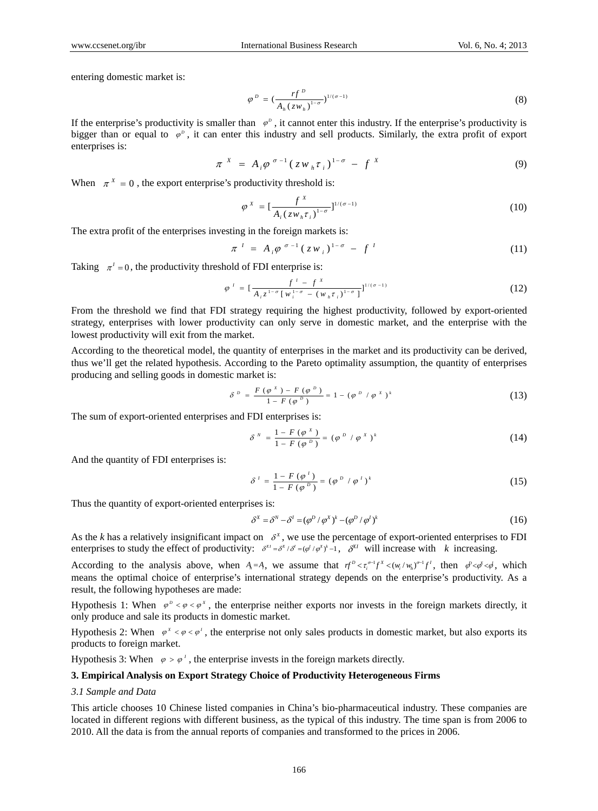entering domestic market is:

$$
\varphi^{D} = \left(\frac{rf^{D}}{A_{h}(zw_{h})^{1-\sigma}}\right)^{1/(\sigma-1)}
$$
\n(8)

If the enterprise's productivity is smaller than  $\varphi^p$ , it cannot enter this industry. If the enterprise's productivity is bigger than or equal to  $\varphi^p$ , it can enter this industry and sell products. Similarly, the extra profit of export enterprises is:

$$
\pi^{X} = A_{i} \varphi^{\sigma-1} \left( z w_{h} \tau_{i} \right)^{1-\sigma} - f^{X}
$$
\n(9)

When  $\pi^X = 0$ , the export enterprise's productivity threshold is:

$$
\varphi^X = \left[\frac{f^X}{A_i (zw_h \tau_i)^{1-\sigma}}\right]^{1/(\sigma-1)}
$$
\n(10)

The extra profit of the enterprises investing in the foreign markets is:

$$
\pi^{I} = A_{i} \varphi^{\sigma - 1} (zw_{i})^{1 - \sigma} - f^{I}
$$
 (11)

Taking  $\pi^1 = 0$ , the productivity threshold of FDI enterprise is:

$$
\varphi^{I} = \left[\frac{f^{I} - f^{X}}{A_{i} z^{1-\sigma} \left[w_{i}^{1-\sigma} - (w_{i} \tau_{i})^{1-\sigma}\right]}\right]^{1/(\sigma-1)}
$$
(12)

From the threshold we find that FDI strategy requiring the highest productivity, followed by export-oriented strategy, enterprises with lower productivity can only serve in domestic market, and the enterprise with the lowest productivity will exit from the market.

According to the theoretical model, the quantity of enterprises in the market and its productivity can be derived, thus we'll get the related hypothesis. According to the Pareto optimality assumption, the quantity of enterprises producing and selling goods in domestic market is:

$$
\delta^{b} = \frac{F(\varphi^{x}) - F(\varphi^{b})}{1 - F(\varphi^{b})} = 1 - (\varphi^{b} / \varphi^{x})^{k}
$$
 (13)

The sum of export-oriented enterprises and FDI enterprises is:

$$
\delta^N = \frac{1 - F(\varphi^X)}{1 - F(\varphi^D)} = (\varphi^D / \varphi^X)^k
$$
 (14)

And the quantity of FDI enterprises is:

$$
\delta^{\,l} = \frac{1 - F(\varphi^{\,l})}{1 - F(\varphi^{\,p})} = (\varphi^{\,p} \ / \ \varphi^{\,l})^k \tag{15}
$$

Thus the quantity of export-oriented enterprises is:

$$
\delta^X = \delta^N - \delta^I = (\varphi^D / \varphi^X)^k - (\varphi^D / \varphi^I)^k \tag{16}
$$

As the *k* has a relatively insignificant impact on  $\delta^x$ , we use the percentage of export-oriented enterprises to FDI enterprises to study the effect of productivity:  $\delta^{x_i} = \delta^{x_i}/\delta^i = (\phi^i/\phi^x)^i - 1$ ,  $\delta^{x_i}$  will increase with k increasing.

According to the analysis above, when  $A_n = A$ , we assume that  $f^{D} < \tau_i^{\sigma-1} f^X < (w_i / w_h)^{\sigma-1} f^I$ , then  $\phi < \phi < \phi$ , which means the optimal choice of enterprise's international strategy depends on the enterprise's productivity. As a result, the following hypotheses are made:

Hypothesis 1: When  $\varphi^b < \varphi < \varphi^x$ , the enterprise neither exports nor invests in the foreign markets directly, it only produce and sale its products in domestic market.

Hypothesis 2: When  $\varphi^x < \varphi < \varphi'$ , the enterprise not only sales products in domestic market, but also exports its products to foreign market.

Hypothesis 3: When  $\varphi > \varphi'$ , the enterprise invests in the foreign markets directly.

#### **3. Empirical Analysis on Export Strategy Choice of Productivity Heterogeneous Firms**

## *3.1 Sample and Data*

This article chooses 10 Chinese listed companies in China's bio-pharmaceutical industry. These companies are located in different regions with different business, as the typical of this industry. The time span is from 2006 to 2010. All the data is from the annual reports of companies and transformed to the prices in 2006.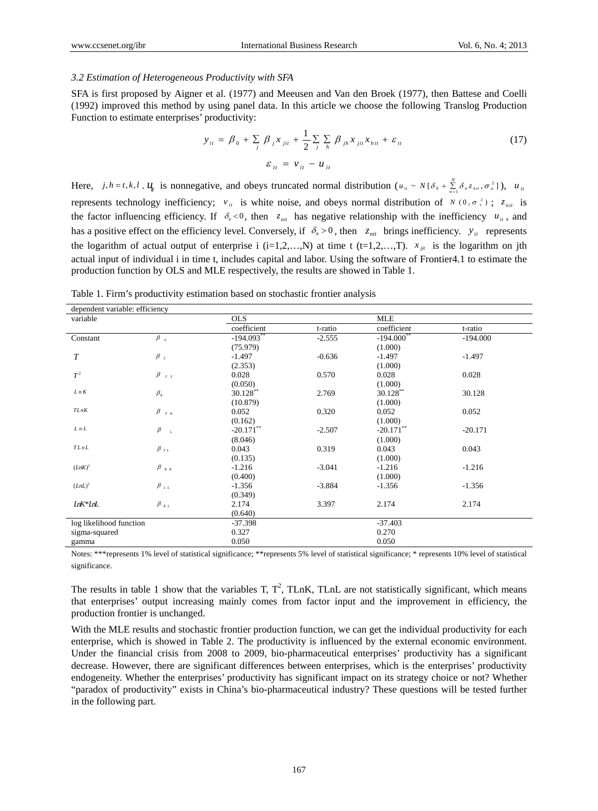### *3.2 Estimation of Heterogeneous Productivity with SFA*

SFA is first proposed by Aigner et al. (1977) and Meeusen and Van den Broek (1977), then Battese and Coelli (1992) improved this method by using panel data. In this article we choose the following Translog Production Function to estimate enterprises' productivity:

$$
y_{it} = \beta_0 + \sum_j \beta_j x_{jit} + \frac{1}{2} \sum_j \sum_h \beta_{jh} x_{jit} x_{hit} + \varepsilon_{it}
$$
  

$$
\varepsilon_{it} = v_{it} - u_{it}
$$
 (17)

Here,  $j, h = t, k, l$ ,  $u_{tt}$  is nonnegative, and obeys truncated normal distribution  $(u_{tt} \sim N[\delta_0 + \sum_{n=1}^{N} \delta_n z_{nit}, \sigma_u^2])$ ,  $u_{tt}$ represents technology inefficiency;  $v_{it}$  is white noise, and obeys normal distribution of  $N(0, \sigma_v^2)$ ;  $z_{nit}$  is the factor influencing efficiency. If  $\delta_n < 0$ , then  $z_{ni}$  has negative relationship with the inefficiency  $u_{ii}$ , and has a positive effect on the efficiency level. Conversely, if  $\delta_n > 0$ , then  $z_{ni}$  brings inefficiency.  $y_{it}$  represents the logarithm of actual output of enterprise i (i=1,2,...,N) at time t (t=1,2,...,T).  $x_{ji}$  is the logarithm on jth actual input of individual i in time t, includes capital and labor. Using the software of Frontier4.1 to estimate the production function by OLS and MLE respectively, the results are showed in Table 1.

Table 1. Firm's productivity estimation based on stochastic frontier analysis

| dependent variable: efficiency |                             |              |          |              |            |  |
|--------------------------------|-----------------------------|--------------|----------|--------------|------------|--|
| variable                       |                             | <b>OLS</b>   |          |              | <b>MLE</b> |  |
|                                |                             | coefficient  | t-ratio  | coefficient  | t-ratio    |  |
| Constant                       | $\beta$ <sub>0</sub>        | $-194.093**$ | $-2.555$ | $-194.000**$ | $-194.000$ |  |
|                                |                             | (75.979)     |          | (1.000)      |            |  |
| T                              | $\beta_T$                   | $-1.497$     | $-0.636$ | $-1.497$     | $-1.497$   |  |
|                                |                             | (2.353)      |          | (1.000)      |            |  |
| $T^2$                          | $\beta$ $_{\tau$ $_{\tau}}$ | 0.028        | 0.570    | 0.028        | 0.028      |  |
|                                |                             | (0.050)      |          | (1.000)      |            |  |
| $L\,n\,K$                      | $\beta_{\kappa}$            | $30.128$ **  | 2.769    | $30.128$ **  | 30.128     |  |
|                                |                             | (10.879)     |          | (1.000)      |            |  |
| TLnK                           | $\beta_{-\tau\ \kappa}$     | 0.052        | 0.320    | 0.052        | 0.052      |  |
|                                |                             | (0.162)      |          | (1.000)      |            |  |
| LnL                            | $\beta$<br>$\cal L$         | $-20.171$    | $-2.507$ | $-20.171$ ** | $-20.171$  |  |
|                                |                             | (8.046)      |          | (1.000)      |            |  |
| $TLnL$                         | $\beta$ <sub>r</sub>        | 0.043        | 0.319    | 0.043        | 0.043      |  |
|                                |                             | (0.135)      |          | (1.000)      |            |  |
| $(LnK)^2$                      | $\beta_{\kappa\kappa}$      | $-1.216$     | $-3.041$ | $-1.216$     | $-1.216$   |  |
|                                |                             | (0.400)      |          | (1.000)      |            |  |
| $(LnL)^2$                      | $\beta$ <sub>LL</sub>       | $-1.356$     | $-3.884$ | $-1.356$     | $-1.356$   |  |
|                                |                             | (0.349)      |          |              |            |  |
| LnK*LnL                        | $\beta_{KL}$                | 2.174        | 3.397    | 2.174        | 2.174      |  |
|                                |                             | (0.640)      |          |              |            |  |
| log likelihood function        |                             | $-37.398$    |          | $-37.403$    |            |  |
| sigma-squared                  |                             | 0.327        |          | 0.270        |            |  |
| gamma                          |                             | 0.050        |          | 0.050        |            |  |
|                                |                             |              |          |              |            |  |

Notes: \*\*\*represents 1% level of statistical significance; \*\*represents 5% level of statistical significance; \* represents 10% level of statistical significance.

The results in table 1 show that the variables T,  $T^2$ , TLnK, TLnL are not statistically significant, which means that enterprises' output increasing mainly comes from factor input and the improvement in efficiency, the production frontier is unchanged.

With the MLE results and stochastic frontier production function, we can get the individual productivity for each enterprise, which is showed in Table 2. The productivity is influenced by the external economic environment. Under the financial crisis from 2008 to 2009, bio-pharmaceutical enterprises' productivity has a significant decrease. However, there are significant differences between enterprises, which is the enterprises' productivity endogeneity. Whether the enterprises' productivity has significant impact on its strategy choice or not? Whether "paradox of productivity" exists in China's bio-pharmaceutical industry? These questions will be tested further in the following part.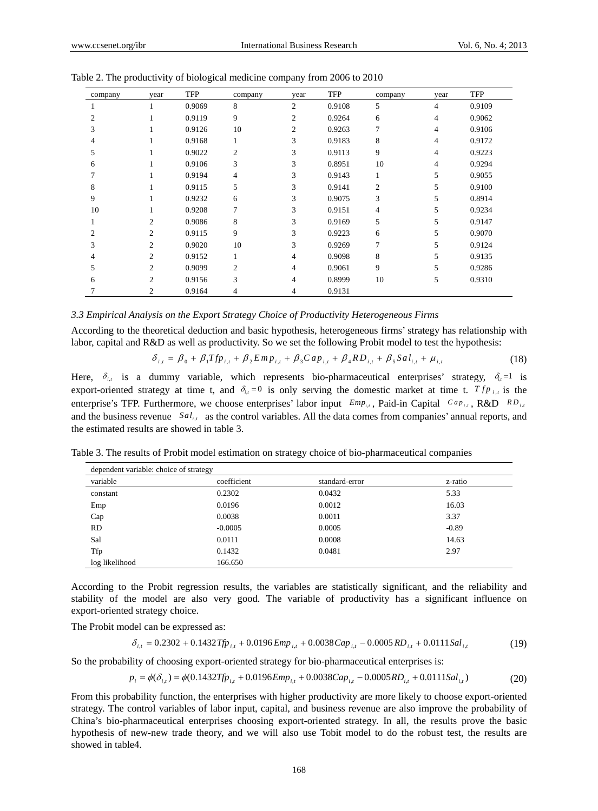| company        | year           | <b>TFP</b> | company        | year           | <b>TFP</b> | company        | year           | <b>TFP</b> |
|----------------|----------------|------------|----------------|----------------|------------|----------------|----------------|------------|
|                |                | 0.9069     | 8              | $\overline{2}$ | 0.9108     | 5              | $\overline{4}$ | 0.9109     |
| 2              |                | 0.9119     | 9              | 2              | 0.9264     | 6              | $\overline{4}$ | 0.9062     |
| 3              |                | 0.9126     | 10             | 2              | 0.9263     | $\overline{7}$ | $\overline{4}$ | 0.9106     |
| 4              |                | 0.9168     |                | 3              | 0.9183     | 8              | $\overline{4}$ | 0.9172     |
| 5              |                | 0.9022     | $\overline{2}$ | 3              | 0.9113     | 9              | $\overline{4}$ | 0.9223     |
| 6              |                | 0.9106     | 3              | 3              | 0.8951     | 10             | $\overline{4}$ | 0.9294     |
|                |                | 0.9194     | $\overline{4}$ | 3              | 0.9143     | $\mathbf{1}$   | 5              | 0.9055     |
| 8              |                | 0.9115     | 5              | 3              | 0.9141     | $\overline{c}$ | 5              | 0.9100     |
| 9              |                | 0.9232     | 6              | 3              | 0.9075     | 3              | 5              | 0.8914     |
| 10             |                | 0.9208     | $\overline{7}$ | 3              | 0.9151     | $\overline{4}$ | 5              | 0.9234     |
|                | $\overline{c}$ | 0.9086     | 8              | 3              | 0.9169     | 5              | 5              | 0.9147     |
| $\mathfrak{D}$ | 2              | 0.9115     | 9              | 3              | 0.9223     | 6              | 5              | 0.9070     |
| 3              | 2              | 0.9020     | 10             | 3              | 0.9269     | 7              | 5              | 0.9124     |
| 4              | $\overline{2}$ | 0.9152     |                | 4              | 0.9098     | 8              | 5              | 0.9135     |
| 5              | $\overline{2}$ | 0.9099     | $\overline{2}$ | $\overline{4}$ | 0.9061     | 9              | 5              | 0.9286     |
| 6              | $\overline{2}$ | 0.9156     | 3              | 4              | 0.8999     | 10             | 5              | 0.9310     |
|                | 2              | 0.9164     | 4              | 4              | 0.9131     |                |                |            |

Table 2. The productivity of biological medicine company from 2006 to 2010

#### *3.3 Empirical Analysis on the Export Strategy Choice of Productivity Heterogeneous Firms*

According to the theoretical deduction and basic hypothesis, heterogeneous firms' strategy has relationship with labor, capital and R&D as well as productivity. So we set the following Probit model to test the hypothesis:

$$
\delta_{i,t} = \beta_0 + \beta_1 T f p_{i,t} + \beta_2 E m p_{i,t} + \beta_3 C a p_{i,t} + \beta_4 R D_{i,t} + \beta_5 S a l_{i,t} + \mu_{i,t}
$$
\n(18)

Here,  $\delta_{i,j}$  is a dummy variable, which represents bio-pharmaceutical enterprises' strategy,  $\delta_{i,j} = 1$  is export-oriented strategy at time t, and  $\delta_{i,j} = 0$  is only serving the domestic market at time t.  $T f p_{i,j}$  is the enterprise's TFP. Furthermore, we choose enterprises' labor input  $\frac{Emp_{i,t}}{p}$ , Paid-in Capital  $\frac{Cap_{i,t}}{Rep_{i,t}}$ , R&D  $\frac{RD_{i,t}}{p}$ and the business revenue  $Sal_{i,i}$  as the control variables. All the data comes from companies' annual reports, and the estimated results are showed in table 3.

Table 3. The results of Probit model estimation on strategy choice of bio-pharmaceutical companies

| dependent variable: choice of strategy |             |                |         |  |
|----------------------------------------|-------------|----------------|---------|--|
| variable                               | coefficient | standard-error | z-ratio |  |
| constant                               | 0.2302      | 0.0432         | 5.33    |  |
| Emp                                    | 0.0196      | 0.0012         | 16.03   |  |
| Cap                                    | 0.0038      | 0.0011         | 3.37    |  |
| RD.                                    | $-0.0005$   | 0.0005         | $-0.89$ |  |
| Sal                                    | 0.0111      | 0.0008         | 14.63   |  |
| Tfp                                    | 0.1432      | 0.0481         | 2.97    |  |
| log likelihood                         | 166.650     |                |         |  |

According to the Probit regression results, the variables are statistically significant, and the reliability and stability of the model are also very good. The variable of productivity has a significant influence on export-oriented strategy choice.

The Probit model can be expressed as:

$$
\delta_{i,t} = 0.2302 + 0.1432 \text{ Tfp}_{i,t} + 0.0196 \text{ Emp}_{i,t} + 0.0038 \text{ Cap}_{i,t} - 0.0005 \text{ RD}_{i,t} + 0.0111 \text{ Sal}_{i,t} \tag{19}
$$

So the probability of choosing export-oriented strategy for bio-pharmaceutical enterprises is:

$$
p_i = \phi(\delta_{i,t}) = \phi(0.1432Tfp_{i,t} + 0.0196Emp_{i,t} + 0.0038Cap_{i,t} - 0.0005RD_{i,t} + 0.0111Sal_{i,t})
$$
\n(20)

From this probability function, the enterprises with higher productivity are more likely to choose export-oriented strategy. The control variables of labor input, capital, and business revenue are also improve the probability of China's bio-pharmaceutical enterprises choosing export-oriented strategy. In all, the results prove the basic hypothesis of new-new trade theory, and we will also use Tobit model to do the robust test, the results are showed in table4.